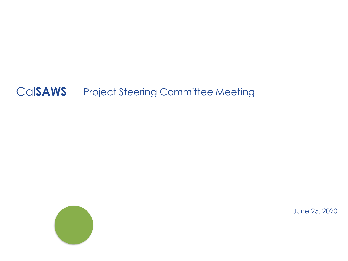#### Cal**SAWS** | Project Steering Committee Meeting



June 25, 2020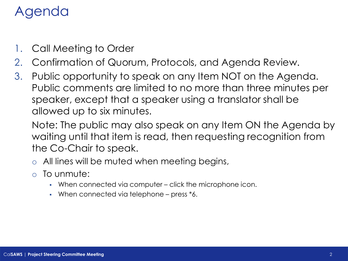## Agenda

- 1. Call Meeting to Order
- 2. Confirmation of Quorum, Protocols, and Agenda Review.
- 3. Public opportunity to speak on any Item NOT on the Agenda. Public comments are limited to no more than three minutes per speaker, except that a speaker using a translator shall be allowed up to six minutes.

Note: The public may also speak on any Item ON the Agenda by waiting until that item is read, then requesting recognition from the Co-Chair to speak.

- o All lines will be muted when meeting begins,
- o To unmute:
	- When connected via computer click the microphone icon.
	- When connected via telephone press \*6.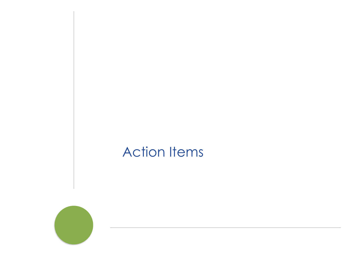# Action Items

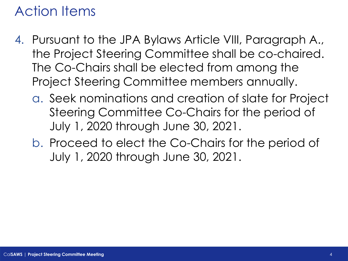### Action Items

- 4. Pursuant to the JPA Bylaws Article VIII, Paragraph A., the Project Steering Committee shall be co-chaired. The Co-Chairs shall be elected from among the Project Steering Committee members annually.
	- a. Seek nominations and creation of slate for Project Steering Committee Co-Chairs for the period of July 1, 2020 through June 30, 2021.
	- b. Proceed to elect the Co-Chairs for the period of July 1, 2020 through June 30, 2021.